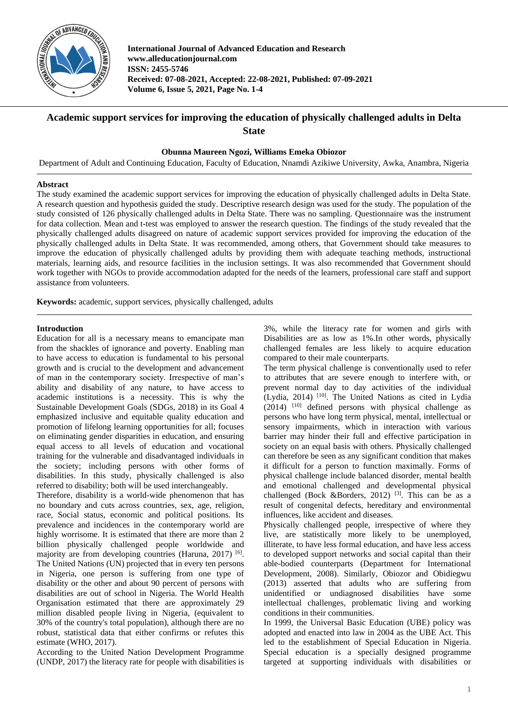

**International Journal of Advanced Education and Research www.alleducationjournal.com ISSN: 2455-5746 Received: 07-08-2021, Accepted: 22-08-2021, Published: 07-09-2021 Volume 6, Issue 5, 2021, Page No. 1-4**

# **Academic support services for improving the education of physically challenged adults in Delta State**

**Obunna Maureen Ngozi, Williams Emeka Obiozor**

Department of Adult and Continuing Education, Faculty of Education, Nnamdi Azikiwe University, Awka, Anambra, Nigeria

### **Abstract**

The study examined the academic support services for improving the education of physically challenged adults in Delta State. A research question and hypothesis guided the study. Descriptive research design was used for the study. The population of the study consisted of 126 physically challenged adults in Delta State. There was no sampling. Questionnaire was the instrument for data collection. Mean and t-test was employed to answer the research question. The findings of the study revealed that the physically challenged adults disagreed on nature of academic support services provided for improving the education of the physically challenged adults in Delta State. It was recommended, among others, that Government should take measures to improve the education of physically challenged adults by providing them with adequate teaching methods, instructional materials, learning aids, and resource facilities in the inclusion settings. It was also recommended that Government should work together with NGOs to provide accommodation adapted for the needs of the learners, professional care staff and support assistance from volunteers.

**Keywords:** academic, support services, physically challenged, adults

### **Introduction**

Education for all is a necessary means to emancipate man from the shackles of ignorance and poverty. Enabling man to have access to education is fundamental to his personal growth and is crucial to the development and advancement of man in the contemporary society. Irrespective of man's ability and disability of any nature, to have access to academic institutions is a necessity. This is why the Sustainable Development Goals (SDGs, 2018) in its Goal 4 emphasized inclusive and equitable quality education and promotion of lifelong learning opportunities for all; focuses on eliminating gender disparities in education, and ensuring equal access to all levels of education and vocational training for the vulnerable and disadvantaged individuals in the society; including persons with other forms of disabilities. In this study, physically challenged is also referred to disability; both will be used interchangeably.

Therefore, disability is a world-wide phenomenon that has no boundary and cuts across countries, sex, age, religion, race, Social status, economic and political positions. Its prevalence and incidences in the contemporary world are highly worrisome. It is estimated that there are more than 2 billion physically challenged people worldwide and majority are from developing countries (Haruna, 2017) <sup>[6]</sup>. The United Nations (UN) projected that in every ten persons in Nigeria, one person is suffering from one type of disability or the other and about 90 percent of persons with disabilities are out of school in Nigeria. The World Health Organisation estimated that there are approximately 29 million disabled people living in Nigeria, (equivalent to 30% of the country's total population), although there are no robust, statistical data that either confirms or refutes this estimate (WHO, 2017).

According to the United Nation Development Programme (UNDP, 2017) the literacy rate for people with disabilities is

3%, while the literacy rate for women and girls with Disabilities are as low as 1%.In other words, physically challenged females are less likely to acquire education compared to their male counterparts.

The term physical challenge is conventionally used to refer to attributes that are severe enough to interfere with, or prevent normal day to day activities of the individual (Lydia, 2014)  $[10]$ . The United Nations as cited in Lydia  $(2014)$  <sup>[10]</sup> defined persons with physical challenge as persons who have long term physical, mental, intellectual or sensory impairments, which in interaction with various barrier may hinder their full and effective participation in society on an equal basis with others. Physically challenged can therefore be seen as any significant condition that makes it difficult for a person to function maximally. Forms of physical challenge include balanced disorder, mental health and emotional challenged and developmental physical challenged (Bock &Borders, 2012)<sup>[3]</sup>. This can be as a result of congenital defects, hereditary and environmental influences, like accident and diseases.

Physically challenged people, irrespective of where they live, are statistically more likely to be unemployed, illiterate, to have less formal education, and have less access to developed support networks and social capital than their able-bodied counterparts (Department for International Development, 2008). Similarly, Obiozor and Obidiegwu (2013) asserted that adults who are suffering from unidentified or undiagnosed disabilities have some intellectual challenges, problematic living and working conditions in their communities.

In 1999, the Universal Basic Education (UBE) policy was adopted and enacted into law in 2004 as the UBE Act. This led to the establishment of Special Education in Nigeria. Special education is a specially designed programme targeted at supporting individuals with disabilities or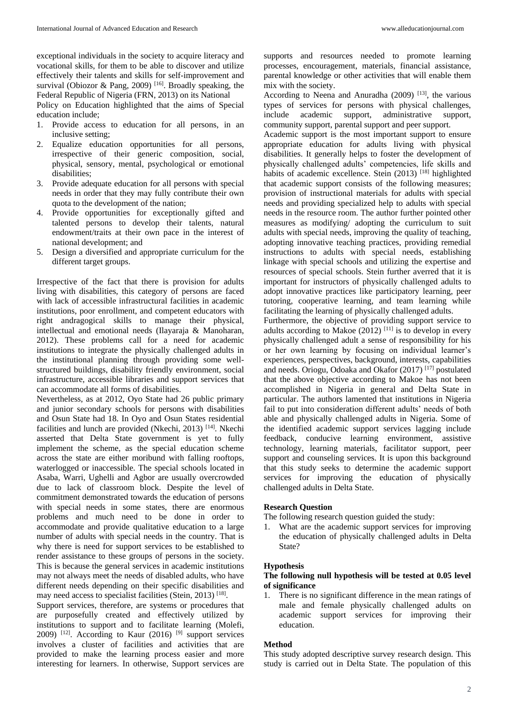exceptional individuals in the society to acquire literacy and vocational skills, for them to be able to discover and utilize effectively their talents and skills for self-improvement and survival (Obiozor & Pang, 2009)<sup>[16]</sup>. Broadly speaking, the Federal Republic of Nigeria (FRN, 2013) on its National

Policy on Education highlighted that the aims of Special education include;

- 1. Provide access to education for all persons, in an inclusive setting;
- 2. Equalize education opportunities for all persons, irrespective of their generic composition, social, physical, sensory, mental, psychological or emotional disabilities;
- 3. Provide adequate education for all persons with special needs in order that they may fully contribute their own quota to the development of the nation;
- 4. Provide opportunities for exceptionally gifted and talented persons to develop their talents, natural endowment/traits at their own pace in the interest of national development; and
- 5. Design a diversified and appropriate curriculum for the different target groups.

Irrespective of the fact that there is provision for adults living with disabilities, this category of persons are faced with lack of accessible infrastructural facilities in academic institutions, poor enrollment, and competent educators with right andragogical skills to manage their physical, intellectual and emotional needs (Ilayaraja & Manoharan, 2012). These problems call for a need for academic institutions to integrate the physically challenged adults in the institutional planning through providing some wellstructured buildings, disability friendly environment, social infrastructure, accessible libraries and support services that can accommodate all forms of disabilities.

Nevertheless, as at 2012, Oyo State had 26 public primary and junior secondary schools for persons with disabilities and Osun State had 18. In Oyo and Osun States residential facilities and lunch are provided (Nkechi, 2013)<sup>[14]</sup>. Nkechi asserted that Delta State government is yet to fully implement the scheme, as the special education scheme across the state are either moribund with falling rooftops, waterlogged or inaccessible. The special schools located in Asaba, Warri, Ughelli and Agbor are usually overcrowded due to lack of classroom block. Despite the level of commitment demonstrated towards the education of persons with special needs in some states, there are enormous problems and much need to be done in order to accommodate and provide qualitative education to a large number of adults with special needs in the country. That is why there is need for support services to be established to render assistance to these groups of persons in the society. This is because the general services in academic institutions may not always meet the needs of disabled adults, who have different needs depending on their specific disabilities and may need access to specialist facilities (Stein, 2013)<sup>[18]</sup>.

Support services, therefore, are systems or procedures that are purposefully created and effectively utilized by institutions to support and to facilitate learning (Molefi, 2009) <sup>[12]</sup>. According to Kaur (2016) <sup>[9]</sup> support services involves a cluster of facilities and activities that are provided to make the learning process easier and more interesting for learners. In otherwise, Support services are

supports and resources needed to promote learning processes, encouragement, materials, financial assistance, parental knowledge or other activities that will enable them mix with the society.

According to Neena and Anuradha (2009)  $[13]$ , the various types of services for persons with physical challenges, include academic support, administrative support, community support, parental support and peer support.

Academic support is the most important support to ensure appropriate education for adults living with physical disabilities. It generally helps to foster the development of physically challenged adults' competencies, life skills and habits of academic excellence. Stein  $(2013)$  [18] highlighted that academic support consists of the following measures; provision of instructional materials for adults with special needs and providing specialized help to adults with special needs in the resource room. The author further pointed other measures as modifying/ adopting the curriculum to suit adults with special needs, improving the quality of teaching, adopting innovative teaching practices, providing remedial instructions to adults with special needs, establishing linkage with special schools and utilizing the expertise and resources of special schools. Stein further averred that it is important for instructors of physically challenged adults to adopt innovative practices like participatory learning, peer tutoring, cooperative learning, and team learning while facilitating the learning of physically challenged adults.

Furthermore, the objective of providing support service to adults according to Makoe  $(2012)$ <sup>[11]</sup> is to develop in every physically challenged adult a sense of responsibility for his or her own learning by focusing on individual learner's experiences, perspectives, background, interests, capabilities and needs. Oriogu, Odoaka and Okafor (2017) [17] postulated that the above objective according to Makoe has not been accomplished in Nigeria in general and Delta State in particular. The authors lamented that institutions in Nigeria fail to put into consideration different adults' needs of both able and physically challenged adults in Nigeria. Some of the identified academic support services lagging include feedback, conducive learning environment, assistive technology, learning materials, facilitator support, peer support and counseling services. It is upon this background that this study seeks to determine the academic support services for improving the education of physically challenged adults in Delta State.

### **Research Question**

The following research question guided the study:

1. What are the academic support services for improving the education of physically challenged adults in Delta State?

#### **Hypothesis**

### **The following null hypothesis will be tested at 0.05 level of significance**

1. There is no significant difference in the mean ratings of male and female physically challenged adults on academic support services for improving their education.

#### **Method**

This study adopted descriptive survey research design. This study is carried out in Delta State. The population of this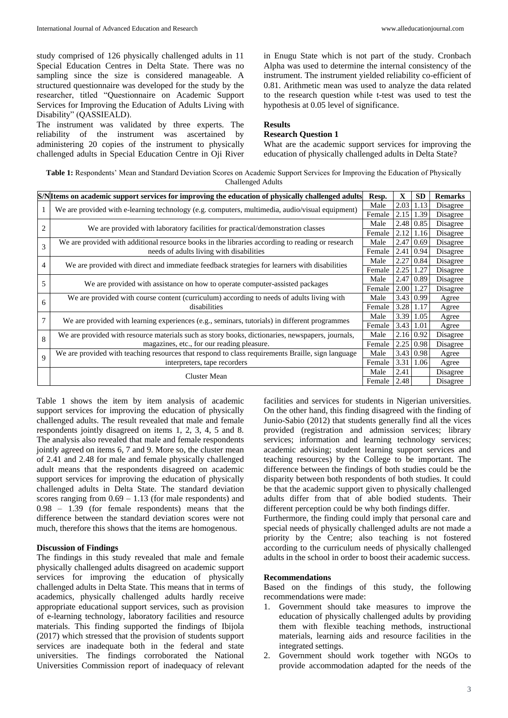study comprised of 126 physically challenged adults in 11 Special Education Centres in Delta State. There was no sampling since the size is considered manageable. A structured questionnaire was developed for the study by the researcher, titled "Questionnaire on Academic Support Services for Improving the Education of Adults Living with Disability" (QASSIEALD).

The instrument was validated by three experts. The reliability of the instrument was ascertained by administering 20 copies of the instrument to physically challenged adults in Special Education Centre in Oji River in Enugu State which is not part of the study. Cronbach Alpha was used to determine the internal consistency of the instrument. The instrument yielded reliability co-efficient of 0.81. Arithmetic mean was used to analyze the data related to the research question while t-test was used to test the hypothesis at 0.05 level of significance.

#### **Results**

## **Research Question 1**

What are the academic support services for improving the education of physically challenged adults in Delta State?

**Table 1:** Respondents' Mean and Standard Deviation Scores on Academic Support Services for Improving the Education of Physically Challenged Adults

| S/N Items on academic support services for improving the education of physically challenged adults |                                                                                                                                              | Resp.  | $\mathbf X$ | <b>SD</b>        | <b>Remarks</b> |
|----------------------------------------------------------------------------------------------------|----------------------------------------------------------------------------------------------------------------------------------------------|--------|-------------|------------------|----------------|
|                                                                                                    | We are provided with e-learning technology (e.g. computers, multimedia, audio/visual equipment)                                              | Male   | 2.03        | 1.13             | Disagree       |
|                                                                                                    |                                                                                                                                              | Female | 2.15        | 1.39             | Disagree       |
| 2                                                                                                  | We are provided with laboratory facilities for practical/demonstration classes                                                               | Male   |             | 2.48 0.85        | Disagree       |
|                                                                                                    |                                                                                                                                              | Female | 2.12        | 1.16             | Disagree       |
| 3                                                                                                  | We are provided with additional resource books in the libraries according to reading or research<br>needs of adults living with disabilities | Male   |             | $2.47 \mid 0.69$ | Disagree       |
|                                                                                                    |                                                                                                                                              | Female |             | $2.41 \mid 0.94$ | Disagree       |
| 4                                                                                                  | We are provided with direct and immediate feedback strategies for learners with disabilities                                                 | Male   |             | $2.27 \mid 0.84$ | Disagree       |
|                                                                                                    |                                                                                                                                              | Female | 2.25        | 1.27             | Disagree       |
| 5                                                                                                  | We are provided with assistance on how to operate computer-assisted packages                                                                 | Male   | 2.47 0.89   |                  | Disagree       |
|                                                                                                    |                                                                                                                                              | Female | 2.00        | 1.27             | Disagree       |
| 6                                                                                                  | We are provided with course content (curriculum) according to needs of adults living with<br>disabilities                                    | Male   |             | 3.43 0.99        | Agree          |
|                                                                                                    |                                                                                                                                              | Female | 3.28 1.17   |                  | Agree          |
| 7                                                                                                  | We are provided with learning experiences (e.g., seminars, tutorials) in different programmes                                                | Male   | 3.39        | 1.05             | Agree          |
|                                                                                                    |                                                                                                                                              | Female | 3.43 1.01   |                  | Agree          |
| 8                                                                                                  | We are provided with resource materials such as story books, dictionaries, newspapers, journals,                                             | Male   | 2.16 0.92   |                  | Disagree       |
|                                                                                                    | magazines, etc., for our reading pleasure.                                                                                                   | Female |             | $2.25 \mid 0.98$ | Disagree       |
| 9                                                                                                  | We are provided with teaching resources that respond to class requirements Braille, sign language<br>interpreters, tape recorders            | Male   |             | $3.43 \mid 0.98$ | Agree          |
|                                                                                                    |                                                                                                                                              | Female | 3.31        | 1.06             | Agree          |
|                                                                                                    | Cluster Mean                                                                                                                                 | Male   | 2.41        |                  | Disagree       |
|                                                                                                    |                                                                                                                                              | Female | 2.48        |                  | Disagree       |

Table 1 shows the item by item analysis of academic support services for improving the education of physically challenged adults. The result revealed that male and female respondents jointly disagreed on items 1, 2, 3, 4, 5 and 8. The analysis also revealed that male and female respondents jointly agreed on items 6, 7 and 9. More so, the cluster mean of 2.41 and 2.48 for male and female physically challenged adult means that the respondents disagreed on academic support services for improving the education of physically challenged adults in Delta State. The standard deviation scores ranging from  $0.69 - 1.13$  (for male respondents) and 0.98 – 1.39 (for female respondents) means that the difference between the standard deviation scores were not much, therefore this shows that the items are homogenous.

#### **Discussion of Findings**

The findings in this study revealed that male and female physically challenged adults disagreed on academic support services for improving the education of physically challenged adults in Delta State. This means that in terms of academics, physically challenged adults hardly receive appropriate educational support services, such as provision of e-learning technology, laboratory facilities and resource materials. This finding supported the findings of Ibijola (2017) which stressed that the provision of students support services are inadequate both in the federal and state universities. The findings corroborated the National Universities Commission report of inadequacy of relevant facilities and services for students in Nigerian universities. On the other hand, this finding disagreed with the finding of Junio-Sabio (2012) that students generally find all the vices provided (registration and admission services; library services; information and learning technology services; academic advising; student learning support services and teaching resources) by the College to be important. The difference between the findings of both studies could be the disparity between both respondents of both studies. It could be that the academic support given to physically challenged adults differ from that of able bodied students. Their different perception could be why both findings differ.

Furthermore, the finding could imply that personal care and special needs of physically challenged adults are not made a priority by the Centre; also teaching is not fostered according to the curriculum needs of physically challenged adults in the school in order to boost their academic success.

### **Recommendations**

Based on the findings of this study, the following recommendations were made:

- 1. Government should take measures to improve the education of physically challenged adults by providing them with flexible teaching methods, instructional materials, learning aids and resource facilities in the integrated settings.
- 2. Government should work together with NGOs to provide accommodation adapted for the needs of the